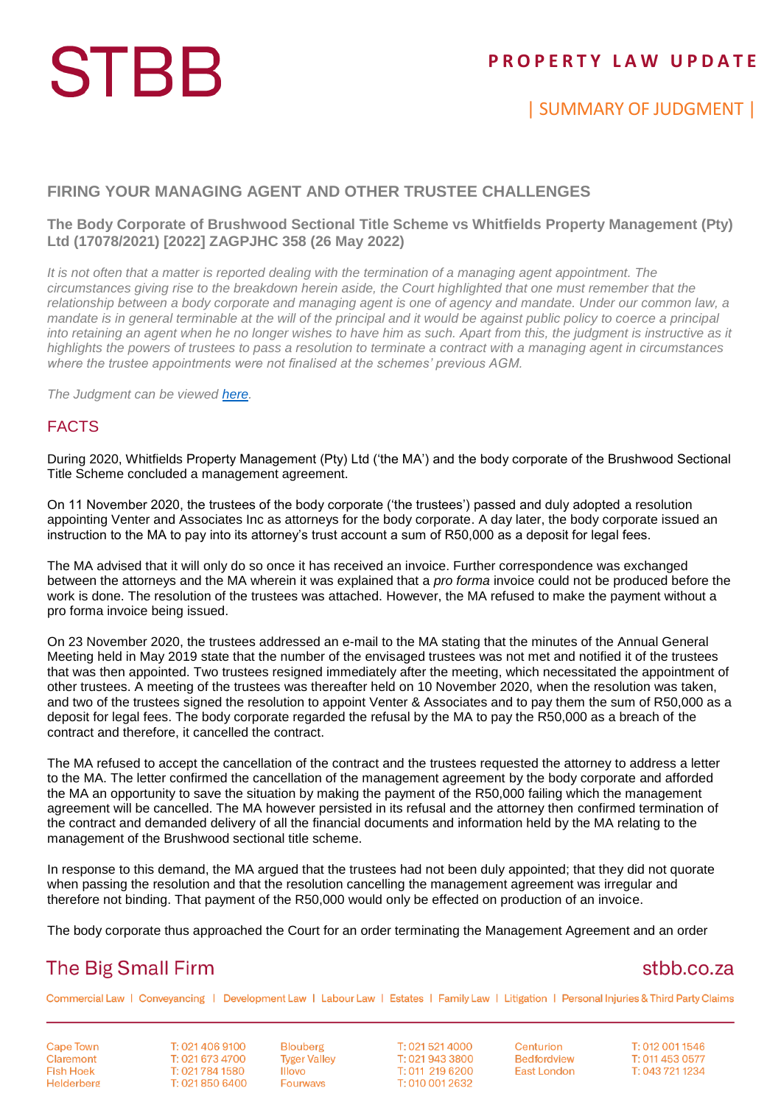# **STBB**

## **P R O P E R T Y L A W U P D A T E**

## | SUMMARY OF JUDGMENT |

#### **FIRING YOUR MANAGING AGENT AND OTHER TRUSTEE CHALLENGES**

#### **The Body Corporate of Brushwood Sectional Title Scheme vs Whitfields Property Management (Pty) Ltd (17078/2021) [2022] ZAGPJHC 358 (26 May 2022)**

*It is not often that a matter is reported dealing with the termination of a managing agent appointment. The circumstances giving rise to the breakdown herein aside, the Court highlighted that one must remember that the relationship between a body corporate and managing agent is one of agency and mandate. Under our common law, a mandate is in general terminable at the will of the principal and it would be against public policy to coerce a principal into retaining an agent when he no longer wishes to have him as such. Apart from this, the judgment is instructive as it highlights the powers of trustees to pass a resolution to terminate a contract with a managing agent in circumstances where the trustee appointments were not finalised at the schemes' previous AGM.*

*The Judgment can be viewed [here.](http://www.saflii.org/za/cases/ZAGPJHC/2022/358.html)*

#### FACTS

During 2020, Whitfields Property Management (Pty) Ltd ('the MA') and the body corporate of the Brushwood Sectional Title Scheme concluded a management agreement.

On 11 November 2020, the trustees of the body corporate ('the trustees') passed and duly adopted a resolution appointing Venter and Associates Inc as attorneys for the body corporate. A day later, the body corporate issued an instruction to the MA to pay into its attorney's trust account a sum of R50,000 as a deposit for legal fees.

The MA advised that it will only do so once it has received an invoice. Further correspondence was exchanged between the attorneys and the MA wherein it was explained that a *pro forma* invoice could not be produced before the work is done. The resolution of the trustees was attached. However, the MA refused to make the payment without a pro forma invoice being issued.

On 23 November 2020, the trustees addressed an e-mail to the MA stating that the minutes of the Annual General Meeting held in May 2019 state that the number of the envisaged trustees was not met and notified it of the trustees that was then appointed. Two trustees resigned immediately after the meeting, which necessitated the appointment of other trustees. A meeting of the trustees was thereafter held on 10 November 2020, when the resolution was taken, and two of the trustees signed the resolution to appoint Venter & Associates and to pay them the sum of R50,000 as a deposit for legal fees. The body corporate regarded the refusal by the MA to pay the R50,000 as a breach of the contract and therefore, it cancelled the contract.

The MA refused to accept the cancellation of the contract and the trustees requested the attorney to address a letter to the MA. The letter confirmed the cancellation of the management agreement by the body corporate and afforded the MA an opportunity to save the situation by making the payment of the R50,000 failing which the management agreement will be cancelled. The MA however persisted in its refusal and the attorney then confirmed termination of the contract and demanded delivery of all the financial documents and information held by the MA relating to the management of the Brushwood sectional title scheme.

In response to this demand, the MA argued that the trustees had not been duly appointed; that they did not quorate when passing the resolution and that the resolution cancelling the management agreement was irregular and therefore not binding. That payment of the R50,000 would only be effected on production of an invoice.

The body corporate thus approached the Court for an order terminating the Management Agreement and an order

## **The Big Small Firm**

### stbb.co.za

Commercial Law | Conveyancing | Development Law | Labour Law | Estates | Family Law | Litigation | Personal Injuries & Third Party Claims

**Cape Town** Claremont **Fish Hoek** Helderberg

T: 021 406 9100 T: 021 673 4700 T: 021 784 1580 T: 021 850 6400

**Blouberg Tyger Valley Illovo Fourways** 

T: 021 521 4000 T: 021 943 3800 T: 011 219 6200 T: 010 001 2632

Centurion **Bedfordview East London** 

T: 012 001 1546 T: 011 453 0577 T: 043 721 1234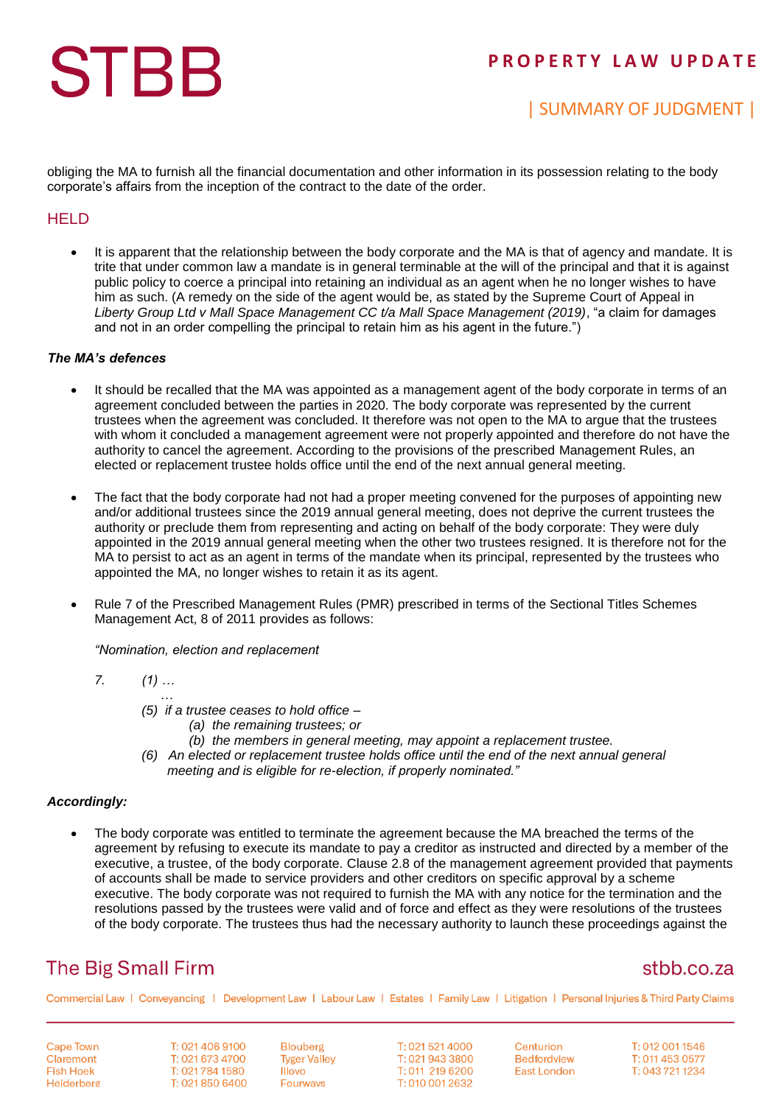# **STBB**

## **P R O P E R T Y L A W U P D A T E**

## | SUMMARY OF JUDGMENT |

obliging the MA to furnish all the financial documentation and other information in its possession relating to the body corporate's affairs from the inception of the contract to the date of the order.

#### **HELD**

 It is apparent that the relationship between the body corporate and the MA is that of agency and mandate. It is trite that under common law a mandate is in general terminable at the will of the principal and that it is against public policy to coerce a principal into retaining an individual as an agent when he no longer wishes to have him as such. (A remedy on the side of the agent would be, as stated by the Supreme Court of Appeal in *Liberty Group Ltd v Mall Space Management CC t/a Mall Space Management (2019)*, "a claim for damages and not in an order compelling the principal to retain him as his agent in the future.")

#### *The MA's defences*

- It should be recalled that the MA was appointed as a management agent of the body corporate in terms of an agreement concluded between the parties in 2020. The body corporate was represented by the current trustees when the agreement was concluded. It therefore was not open to the MA to argue that the trustees with whom it concluded a management agreement were not properly appointed and therefore do not have the authority to cancel the agreement. According to the provisions of the prescribed Management Rules, an elected or replacement trustee holds office until the end of the next annual general meeting.
- The fact that the body corporate had not had a proper meeting convened for the purposes of appointing new and/or additional trustees since the 2019 annual general meeting, does not deprive the current trustees the authority or preclude them from representing and acting on behalf of the body corporate: They were duly appointed in the 2019 annual general meeting when the other two trustees resigned. It is therefore not for the MA to persist to act as an agent in terms of the mandate when its principal, represented by the trustees who appointed the MA, no longer wishes to retain it as its agent.
- Rule 7 of the Prescribed Management Rules (PMR) prescribed in terms of the Sectional Titles Schemes Management Act, 8 of 2011 provides as follows:

*"Nomination, election and replacement*

$$
7. \hspace{20pt} (1) \ldots
$$

- *… (5) if a trustee ceases to hold office –*
	- *(a) the remaining trustees; or*
	- *(b) the members in general meeting, may appoint a replacement trustee.*
- *(6) An elected or replacement trustee holds office until the end of the next annual general meeting and is eligible for re-election, if properly nominated."*

#### *Accordingly:*

 The body corporate was entitled to terminate the agreement because the MA breached the terms of the agreement by refusing to execute its mandate to pay a creditor as instructed and directed by a member of the executive, a trustee, of the body corporate. Clause 2.8 of the management agreement provided that payments of accounts shall be made to service providers and other creditors on specific approval by a scheme executive. The body corporate was not required to furnish the MA with any notice for the termination and the resolutions passed by the trustees were valid and of force and effect as they were resolutions of the trustees of the body corporate. The trustees thus had the necessary authority to launch these proceedings against the

## **The Big Small Firm**

## stbb.co.za

Commercial Law | Conveyancing | Development Law | Labour Law | Estates | Family Law | Litigation | Personal Injuries & Third Party Claims

**Cape Town** Claremont **Fish Hoek** Helderberg

T: 021 406 9100 T: 021 673 4700 T: 021 784 1580 T: 021 850 6400 **Blouberg Tyger Valley Illovo** Fourways

T: 021 521 4000 T: 021 943 3800 T: 011 219 6200 T: 010 001 2632

Centurion **Bedfordview East London** 

T: 012 001 1546 T: 011 453 0577 T: 043 721 1234